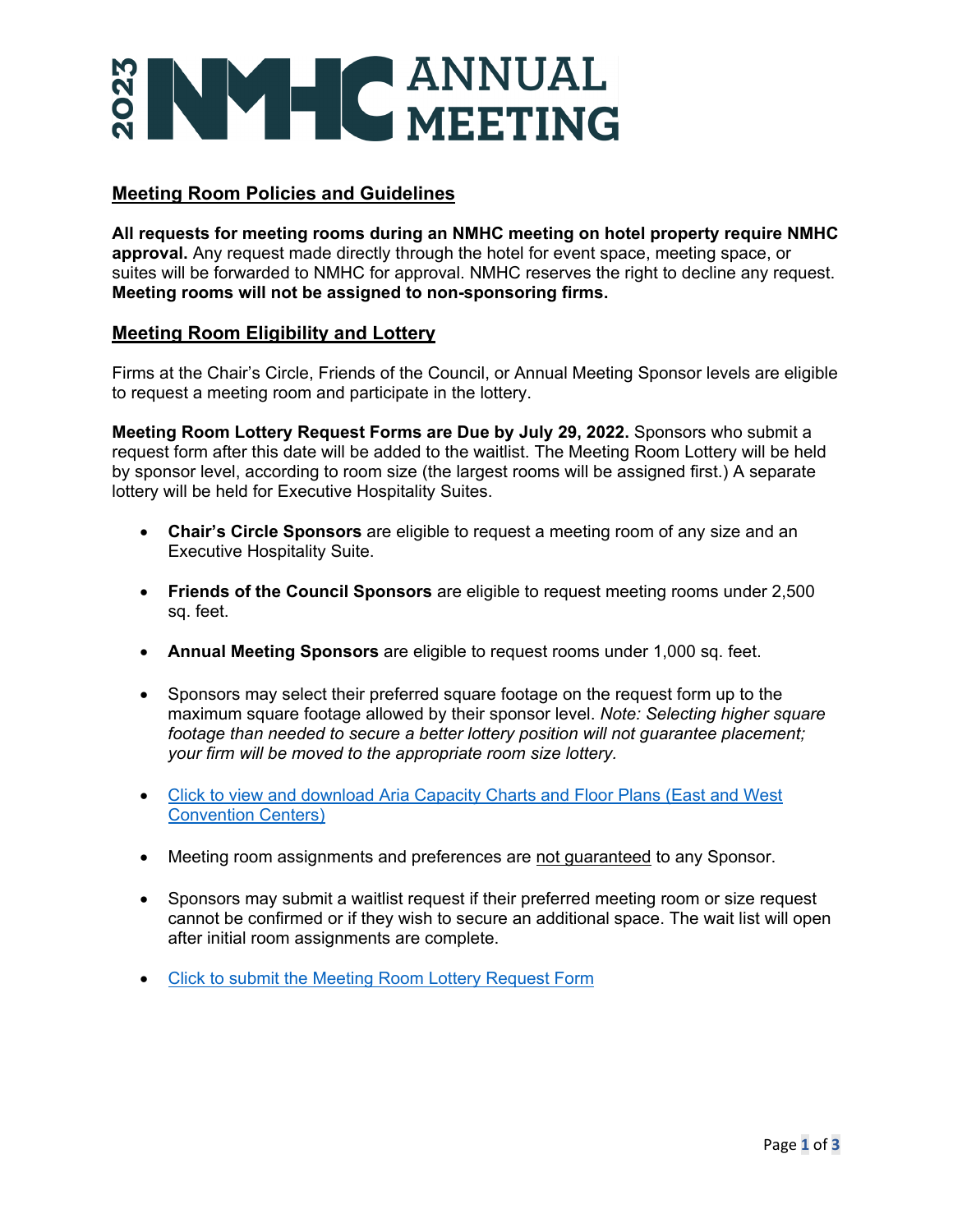# NY CANNUAL

# **Meeting Room Policies and Guidelines**

**All requests for meeting rooms during an NMHC meeting on hotel property require NMHC approval.** Any request made directly through the hotel for event space, meeting space, or suites will be forwarded to NMHC for approval. NMHC reserves the right to decline any request. **Meeting rooms will not be assigned to non-sponsoring firms.**

### **Meeting Room Eligibility and Lottery**

Firms at the Chair's Circle, Friends of the Council, or Annual Meeting Sponsor levels are eligible to request a meeting room and participate in the lottery.

**Meeting Room Lottery Request Forms are Due by July 29, 2022.** Sponsors who submit a request form after this date will be added to the waitlist. The Meeting Room Lottery will be held by sponsor level, according to room size (the largest rooms will be assigned first.) A separate lottery will be held for Executive Hospitality Suites.

- **Chair's Circle Sponsors** are eligible to request a meeting room of any size and an Executive Hospitality Suite.
- **Friends of the Council Sponsors** are eligible to request meeting rooms under 2,500 sq. feet.
- **Annual Meeting Sponsors** are eligible to request rooms under 1,000 sq. feet.
- Sponsors may select their preferred square footage on the request form up to the maximum square footage allowed by their sponsor level. *Note: Selecting higher square footage than needed to secure a better lottery position will not guarantee placement; your firm will be moved to the appropriate room size lottery.*
- [Click to view and download Aria Capacity Charts and](https://www.nmhc.org/globalassets/meetings/sponsorship-opportunities/2023-sponsorships/aria-meetings-convention-center-combined-capacity-guide-1.pdf) Floor Plans (East and West [Convention Centers\)](https://www.nmhc.org/globalassets/meetings/sponsorship-opportunities/2023-sponsorships/aria-meetings-convention-center-combined-capacity-guide-1.pdf)
- Meeting room assignments and preferences are not guaranteed to any Sponsor.
- Sponsors may submit a waitlist request if their preferred meeting room or size request cannot be confirmed or if they wish to secure an additional space. The wait list will open after initial room assignments are complete.
- Click to submit the [Meeting Room Lottery Request Form](https://www.cognitoforms.com/NMHC/MeetingRoomLotteryRequestForm)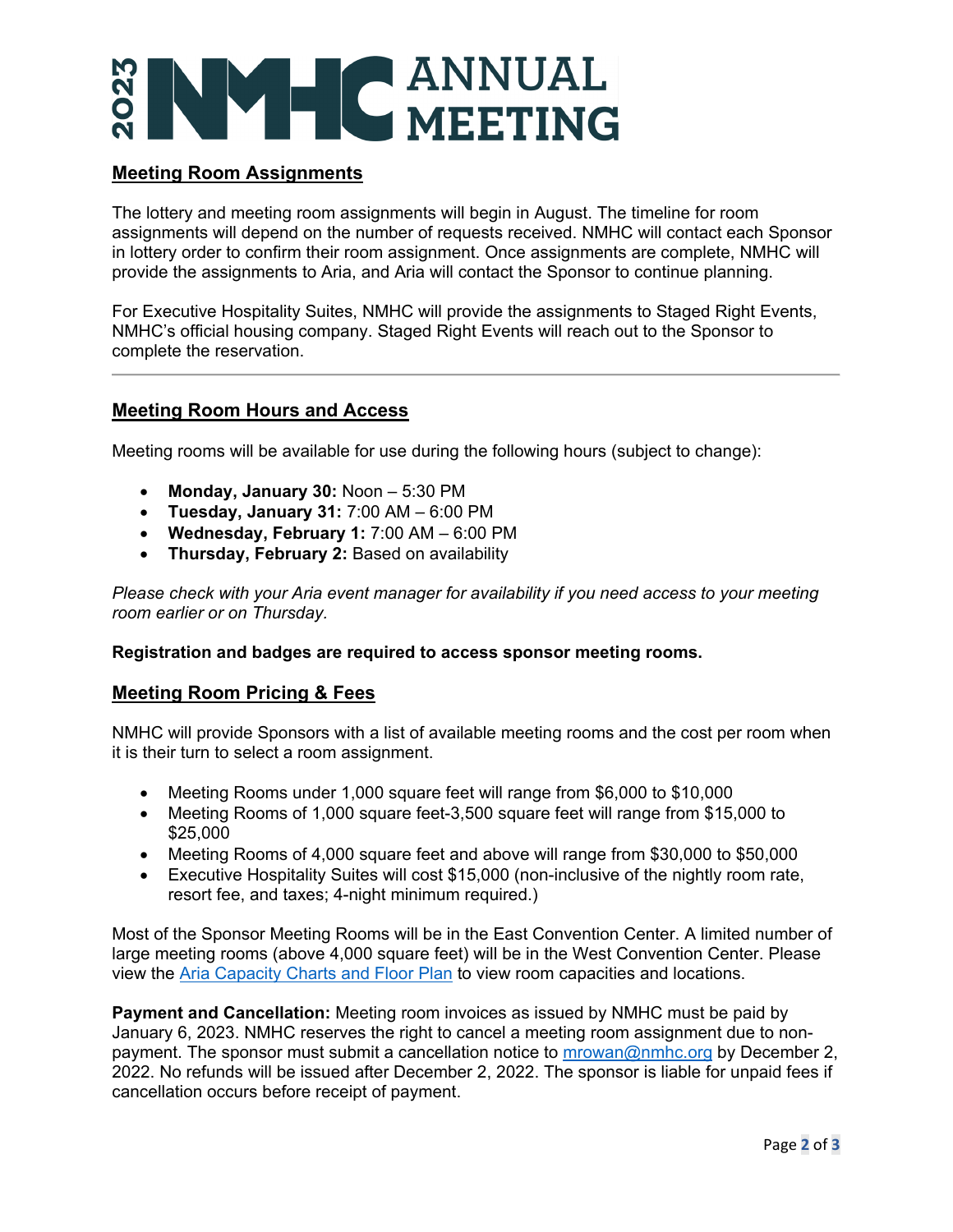# **WHCANNUAL**

# **Meeting Room Assignments**

The lottery and meeting room assignments will begin in August. The timeline for room assignments will depend on the number of requests received. NMHC will contact each Sponsor in lottery order to confirm their room assignment. Once assignments are complete, NMHC will provide the assignments to Aria, and Aria will contact the Sponsor to continue planning.

For Executive Hospitality Suites, NMHC will provide the assignments to Staged Right Events, NMHC's official housing company. Staged Right Events will reach out to the Sponsor to complete the reservation.

### **Meeting Room Hours and Access**

Meeting rooms will be available for use during the following hours (subject to change):

- **Monday, January 30:** Noon 5:30 PM
- **Tuesday, January 31:** 7:00 AM 6:00 PM
- **Wednesday, February 1:** 7:00 AM 6:00 PM
- **Thursday, February 2:** Based on availability

*Please check with your Aria event manager for availability if you need access to your meeting room earlier or on Thursday.*

### **Registration and badges are required to access sponsor meeting rooms.**

### **Meeting Room Pricing & Fees**

NMHC will provide Sponsors with a list of available meeting rooms and the cost per room when it is their turn to select a room assignment.

- Meeting Rooms under 1,000 square feet will range from \$6,000 to \$10,000
- Meeting Rooms of 1,000 square feet-3,500 square feet will range from \$15,000 to \$25,000
- Meeting Rooms of 4,000 square feet and above will range from \$30,000 to \$50,000
- Executive Hospitality Suites will cost \$15,000 (non-inclusive of the nightly room rate, resort fee, and taxes; 4-night minimum required.)

Most of the Sponsor Meeting Rooms will be in the East Convention Center. A limited number of large meeting rooms (above 4,000 square feet) will be in the West Convention Center. Please view the [Aria Capacity Charts and Floor Plan](https://www.nmhc.org/globalassets/meetings/sponsorship-opportunities/2023-sponsorships/aria-meetings-convention-center-combined-capacity-guide-1.pdf) to view room capacities and locations.

**Payment and Cancellation:** Meeting room invoices as issued by NMHC must be paid by January 6, 2023. NMHC reserves the right to cancel a meeting room assignment due to nonpayment. The sponsor must submit a cancellation notice to [mrowan@nmhc.org](mailto:mrowan@nmhc.org) by December 2, 2022. No refunds will be issued after December 2, 2022. The sponsor is liable for unpaid fees if cancellation occurs before receipt of payment.